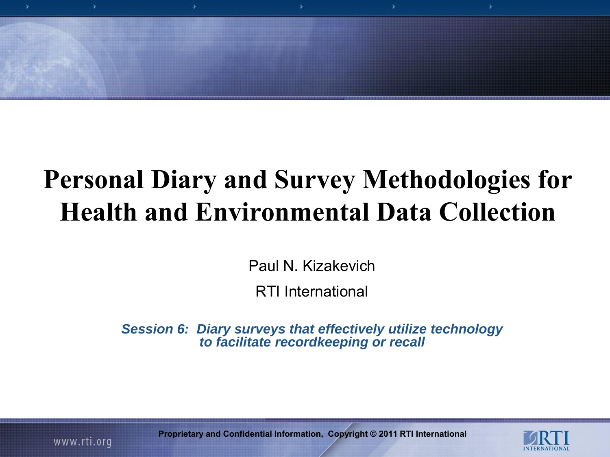

# **Personal Diary and Survey Methodologies for Health and Environmental Data Collection**

Paul N. Kizakevich

RTI International

*Session 6: Diary surveys that effectively utilize technology to facilitate recordkeeping or recall*



**Proprietary and Confidential Information, Copyright © 2011 RTI International**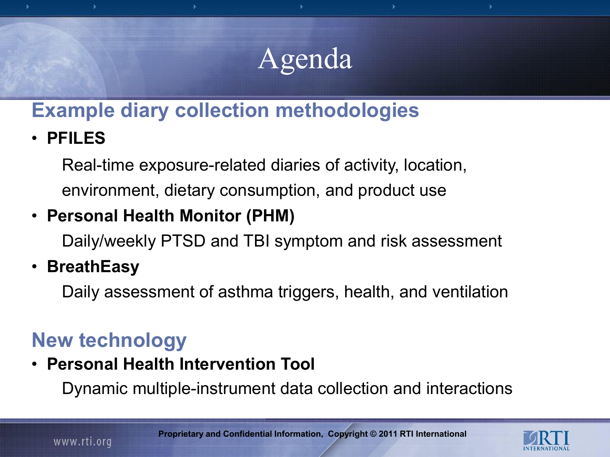# Agenda

## **Example diary collection methodologies**

• **PFILES**

Real-time exposure-related diaries of activity, location, environment, dietary consumption, and product use

### • **Personal Health Monitor (PHM)**

Daily/weekly PTSD and TBI symptom and risk assessment

### • **BreathEasy**

Daily assessment of asthma triggers, health, and ventilation

## **New technology**

• **Personal Health Intervention Tool**

Dynamic multiple-instrument data collection and interactions

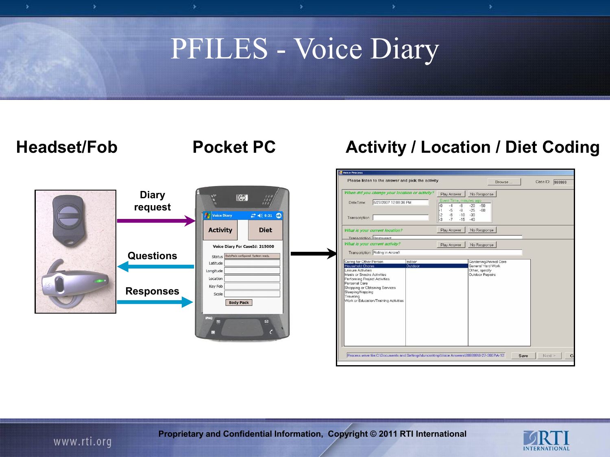# PFILES - Voice Diary

#### **Headset/Fob Pocket PC Activity / Location / Diet Coding**



| When did you change your location or activity?                                                                                                                                           | Play Answer                                                                                                        | No Response                                    |  |
|------------------------------------------------------------------------------------------------------------------------------------------------------------------------------------------|--------------------------------------------------------------------------------------------------------------------|------------------------------------------------|--|
| 6/27/2007 12:08:36 PM<br>DateTime:<br>Transcription                                                                                                                                      | Event Time, minutes ago<br>$-4$<br>$-8$<br>$-0$<br>$-5$<br>$-9$<br>$\frac{2}{3}$<br>$-6$<br>$-10$<br>$-7$<br>$-15$ | $-20$<br>$-50$<br>$-25 - 60$<br>$-30$<br>$-40$ |  |
| What is your current location?                                                                                                                                                           | Play Answer                                                                                                        | No Response                                    |  |
| <b>Transcription Restaurant</b><br>What is your current activity?                                                                                                                        | Play Answer                                                                                                        | No Response                                    |  |
| Meals or Snacks Activities<br>Performing Project Activities<br>Personal Care<br>Shopping or Obtaining Services<br>Sleeping/Napping<br>Traveling<br>Work or Education/Training Activities |                                                                                                                    | Outdoor Repairs                                |  |
|                                                                                                                                                                                          |                                                                                                                    |                                                |  |



**Proprietary and Confidential Information, Copyright © 2011 RTI International**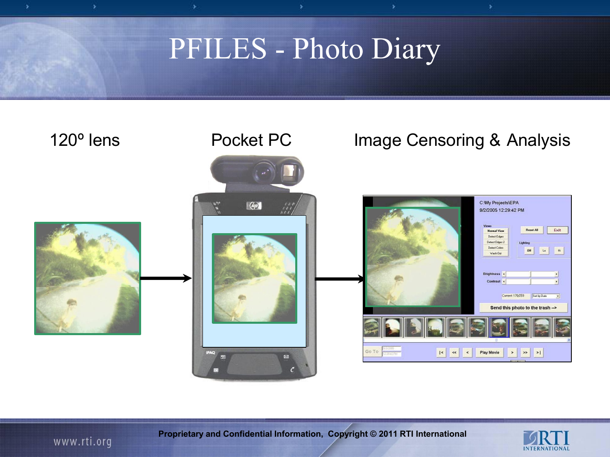š





**Proprietary and Confidential Information, Copyright © 2011 RTI International**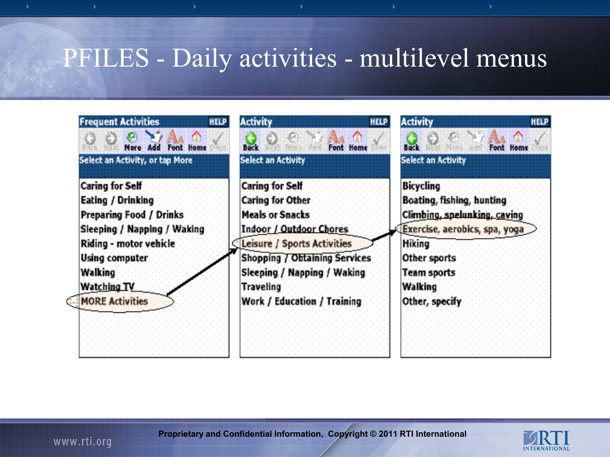## PFILES - Daily activities - multilevel menus

| <b>Frequent Activities</b><br><b>HELP</b><br>⋒<br>€<br>More Add Font Home<br>Select an Activity, or tap More | <b>Activity</b><br><b>HELP</b><br><b>Back</b><br>Font Home<br><b>Select an Activity</b> | <b>Activity</b><br><b>HELP</b><br><b>Buck</b><br><b>Font Home</b><br><b>Select an Activity</b> |
|--------------------------------------------------------------------------------------------------------------|-----------------------------------------------------------------------------------------|------------------------------------------------------------------------------------------------|
| <b>Caring for Self</b>                                                                                       | <b>Caring for Self</b>                                                                  | <b>Bicycling</b>                                                                               |
| Eating / Drinking                                                                                            | <b>Caring for Other</b>                                                                 | Boating, fishing, hunting                                                                      |
| Preparing Food / Drinks                                                                                      | <b>Meals or Snacks</b>                                                                  | Climbing, spelunking, caving                                                                   |
| Sleeping / Napping / Waking                                                                                  | <b>Indoor / Outdoor Chores</b>                                                          | Exercise, aerobics, spa, yoga                                                                  |
| Riding - motor vehicle                                                                                       | Leisure / Sports Activities                                                             | Hiking                                                                                         |
| Using computer                                                                                               | <b>Shopping / Obtaining Services</b>                                                    | Other sports                                                                                   |
| Walking                                                                                                      | Sleeping / Napping / Waking                                                             | <b>Team sports</b>                                                                             |
| Watching TV                                                                                                  | Traveling                                                                               | Walking                                                                                        |
| <b>MORE Activities</b>                                                                                       | Work / Education / Training                                                             | Other, specify                                                                                 |



**Proprietary and Confidential Information, Copyright © 2011 RTI International**

www.rti.org

ś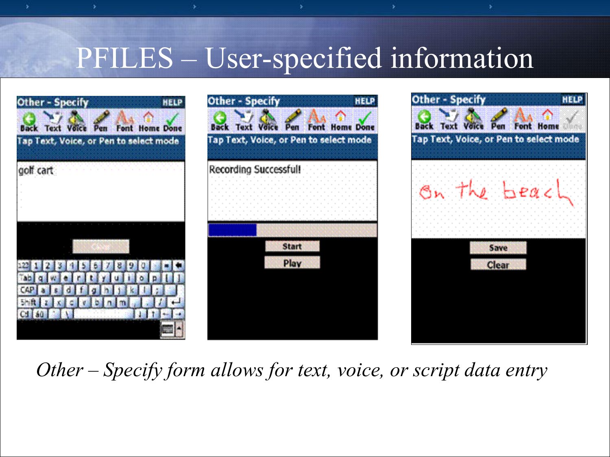# PFILES – User-specified information

x



*Other – Specify form allows for text, voice, or script data entry*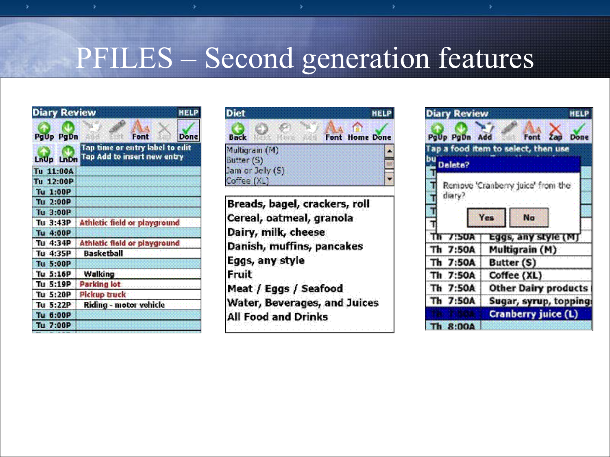# PFILES – Second generation features

| <b>Diary Review</b> | <b>HELP</b>                                                    |
|---------------------|----------------------------------------------------------------|
| PgUp PgDn           | Font<br><b>Done</b>                                            |
| LnUp LnDn           | Tap time or entry label to edit<br>Tap Add to insert new entry |
| Tu 11:00A           |                                                                |
| Tu 12:00P           |                                                                |
| Tu 1:00P            |                                                                |
| Tu 2:00P            |                                                                |
| Tu 3:00P            |                                                                |
| Tu 3:43P            | Athletic field or playground                                   |
| Tu 4:00P            |                                                                |
| Tu 4:34P            | Athletic field or playground                                   |
| Tu 4:35P            | <b>Basketball</b>                                              |
| <b>Tu 5:00P</b>     |                                                                |
| Tu: 5:16P           | <b>Walking</b>                                                 |
| Tu 5:19P            | <b>Parking lot</b>                                             |
| Tu 5:20P            | <b>Pickup truck</b>                                            |
| Tu 5:22P            | Riding - motor vehicle                                         |
| Tu 6:00P            |                                                                |
| Tu 7:00P            |                                                                |



Breads, bagel, crackers, roll Cereal, oatmeal, granola Dairy, milk, cheese Danish, muffins, pancakes Eggs, any style Fruit Meat / Eggs / Seafood Water, Beverages, and Juices **All Food and Drinks** 

| <b>Diary Review</b> | <b>HELP</b>                         |
|---------------------|-------------------------------------|
| PoUp PoDn Add       | Zap<br>Font<br>Done                 |
|                     | Tap a food item to select, then use |
| bu<br>Delete?       |                                     |
|                     |                                     |
|                     | Remove Cranberry juice from the     |
| diary?              |                                     |
|                     |                                     |
|                     | <b>Yes</b><br>No                    |
| 7:50A               | Eggs, any style (M)                 |
| Th<br>7:50A         | Multigrain (M)                      |
| Th 7:50A            | Butter (S)                          |
| Th 7:50A            | Coffee (XL)                         |
| Th 7:50A            | <b>Other Dairy products</b>         |
| Th 7:50A            | Sugar, syrup, topping               |
|                     | Cranberry juice (L)                 |
| 8:004               |                                     |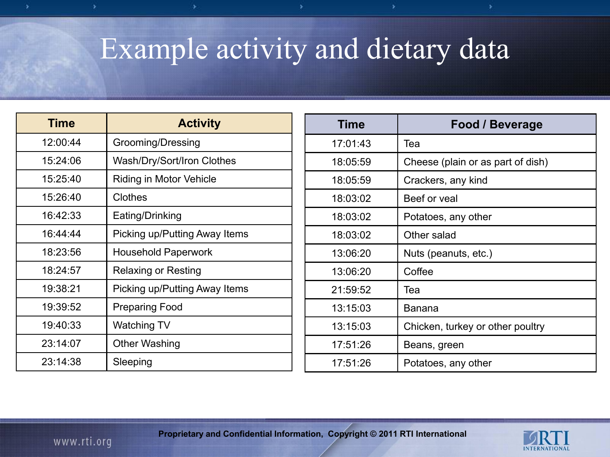# Example activity and dietary data

| <b>Time</b> | <b>Activity</b>               |  |  |
|-------------|-------------------------------|--|--|
| 12:00:44    | Grooming/Dressing             |  |  |
| 15:24:06    | Wash/Dry/Sort/Iron Clothes    |  |  |
| 15:25:40    | Riding in Motor Vehicle       |  |  |
| 15:26:40    | Clothes                       |  |  |
| 16:42:33    | Eating/Drinking               |  |  |
| 16:44:44    | Picking up/Putting Away Items |  |  |
| 18:23:56    | <b>Household Paperwork</b>    |  |  |
| 18:24:57    | <b>Relaxing or Resting</b>    |  |  |
| 19:38:21    | Picking up/Putting Away Items |  |  |
| 19:39:52    | <b>Preparing Food</b>         |  |  |
| 19:40:33    | Watching TV                   |  |  |
| 23:14:07    | Other Washing                 |  |  |
| 23:14:38    | Sleeping                      |  |  |

| <b>Time</b> | <b>Food / Beverage</b>            |
|-------------|-----------------------------------|
| 17:01:43    | Tea                               |
| 18:05:59    | Cheese (plain or as part of dish) |
| 18:05:59    | Crackers, any kind                |
| 18:03:02    | Beef or yeal                      |
| 18:03:02    | Potatoes, any other               |
| 18:03:02    | Other salad                       |
| 13:06:20    | Nuts (peanuts, etc.)              |
| 13:06:20    | Coffee                            |
| 21:59:52    | Tea                               |
| 13:15:03    | Banana                            |
| 13:15:03    | Chicken, turkey or other poultry  |
| 17:51:26    | Beans, green                      |
| 17:51:26    | Potatoes, any other               |

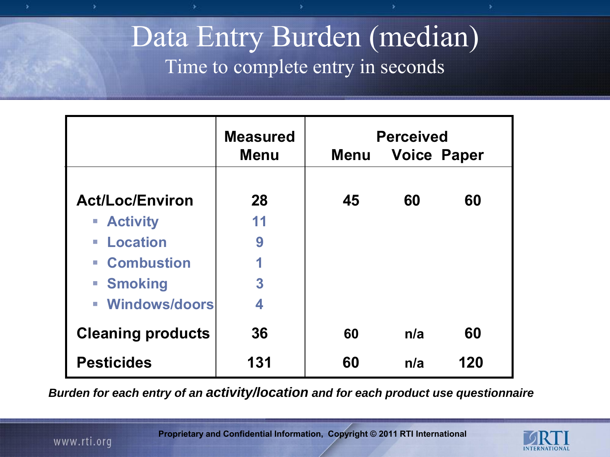## Data Entry Burden (median) Time to complete entry in seconds

|                                                | <b>Measured</b><br><b>Menu</b> | <b>Perceived</b><br><b>Voice Paper</b><br><b>Menu</b> |     |     |
|------------------------------------------------|--------------------------------|-------------------------------------------------------|-----|-----|
|                                                |                                |                                                       |     |     |
| <b>Act/Loc/Environ</b>                         | 28                             | 45                                                    | 60  | 60  |
| <b>Activity</b>                                | 11                             |                                                       |     |     |
| <b>Location</b><br>$\mathcal{L}_{\mathcal{A}}$ | 9                              |                                                       |     |     |
| <b>- Combustion</b>                            | 1                              |                                                       |     |     |
| <b>Smoking</b>                                 | 3                              |                                                       |     |     |
| <b>- Windows/doors</b>                         | 4                              |                                                       |     |     |
| <b>Cleaning products</b>                       | 36                             | 60                                                    | n/a | 60  |
| <b>Pesticides</b>                              | 131                            | 60                                                    | n/a | 120 |

*Burden for each entry of an activity/location and for each product use questionnaire* 

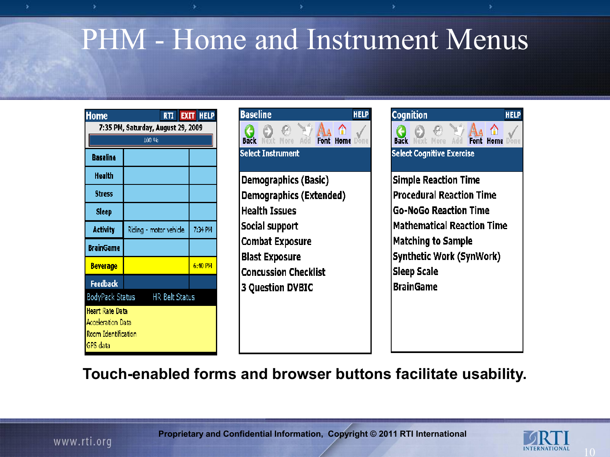# PHM - Home and Instrument Menus

| tome                                                                    | RTI                    | <b>EXIT HELP</b> |  |  |  |
|-------------------------------------------------------------------------|------------------------|------------------|--|--|--|
| 7:35 PM, Saturday, August 29, 2009                                      |                        |                  |  |  |  |
|                                                                         | 100 %                  |                  |  |  |  |
| <b>Baseline</b>                                                         |                        |                  |  |  |  |
| Health                                                                  |                        |                  |  |  |  |
| Stress                                                                  |                        |                  |  |  |  |
| <b>Sleep</b>                                                            |                        |                  |  |  |  |
| <b>Activity</b>                                                         | Riding - motor vehicle | 7:34 PM          |  |  |  |
| <b>BrainGame</b>                                                        |                        |                  |  |  |  |
| <u>Beverage</u>                                                         |                        | $6:40$ PM        |  |  |  |
| <b>Feedback</b>                                                         |                        |                  |  |  |  |
| BodyPack Status                                                         | <b>HR Belt Status</b>  |                  |  |  |  |
| Heart Rate Data<br>Acceleration Data<br>Room Identification<br>GPS data |                        |                  |  |  |  |



Demographics (Basic) Demographics (Extended) **Health Issues** Social support **Combat Exposure Blast Exposure Concussion Checklist 3 Question DVBIC** 

| Cognition<br>Rack<br>Select Cognitive Exercise |                    |                                 | Font |                                   | HEL |
|------------------------------------------------|--------------------|---------------------------------|------|-----------------------------------|-----|
|                                                |                    | <b>Simple Reaction Time</b>     |      |                                   |     |
|                                                |                    | <b>Procedural Reaction Time</b> |      |                                   |     |
|                                                |                    | <b>Go-NoGo Reaction Time</b>    |      |                                   |     |
|                                                |                    |                                 |      | <b>Mathematical Reaction Time</b> |     |
|                                                |                    | <b>Matching to Sample</b>       |      |                                   |     |
|                                                |                    | Synthetic Work (SynWork)        |      |                                   |     |
|                                                | <b>Sleep Scale</b> |                                 |      |                                   |     |
|                                                | BrainGame          |                                 |      |                                   |     |
|                                                |                    |                                 |      |                                   |     |
|                                                |                    |                                 |      |                                   |     |
|                                                |                    |                                 |      |                                   |     |
|                                                |                    |                                 |      |                                   |     |

**Touch-enabled forms and browser buttons facilitate usability.**

š

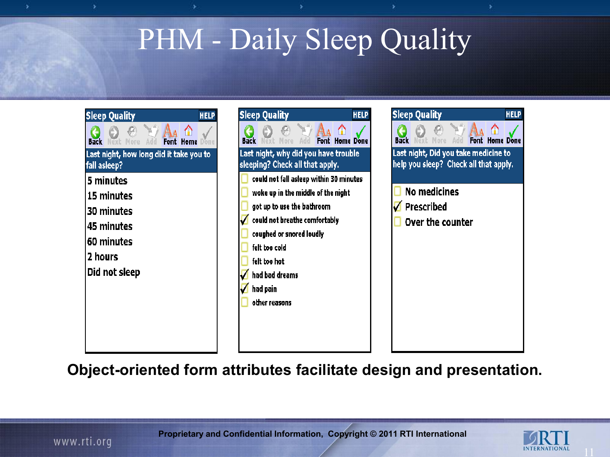# PHM - Daily Sleep Quality





**HELP** Font Home Done Last night, Did you take medicine to help you sleep? Check all that apply. **No medicines Prescribed** Over the counter

**Object-oriented form attributes facilitate design and presentation.** 

š

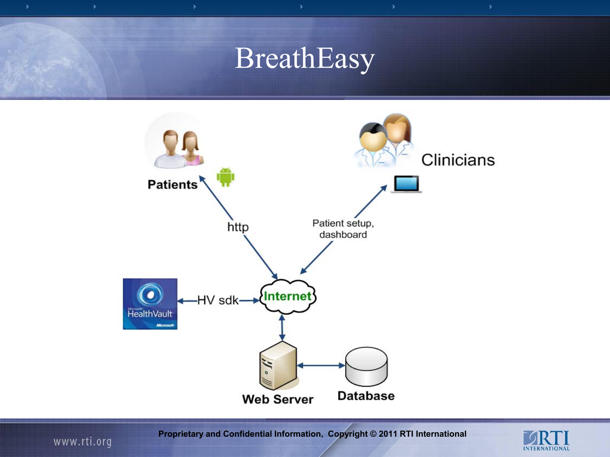# BreathEasy



**Proprietary and Confidential Information, Copyright © 2011 RTI International**

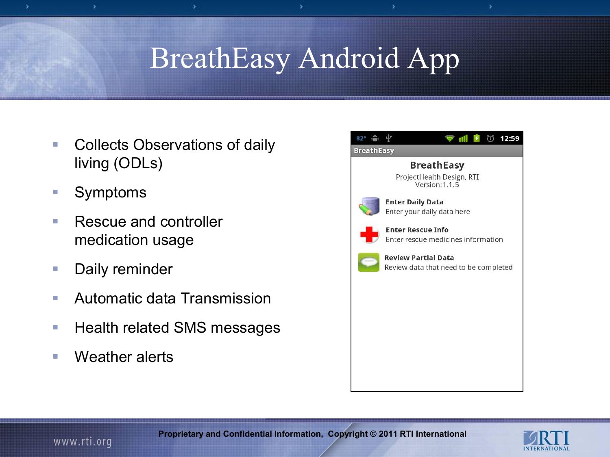# BreathEasy Android App

- **Collects Observations of daily** living (ODLs)
- Symptoms

š

- Rescue and controller medication usage
- **Daily reminder**
- Automatic data Transmission
- Health related SMS messages
- Weather alerts



ś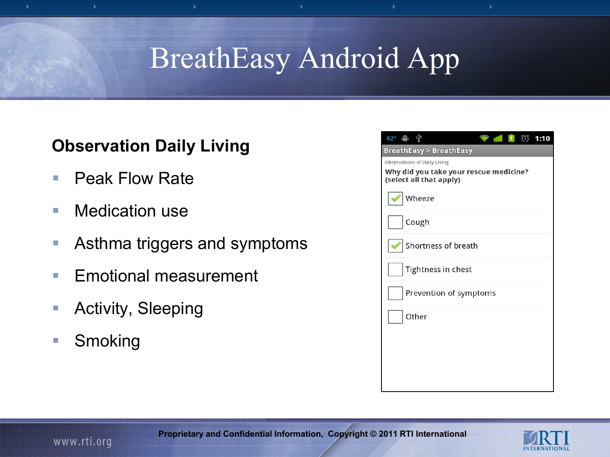# BreathEasy Android App

#### **Observation Daily Living**

■ Peak Flow Rate

š

- **Nedication use**
- **Asthma triggers and symptoms**
- **Emotional measurement**
- **Activity, Sleeping**
- **Smoking**

| 82°● 宁                                                                                            | m | 衍 | 1:10 |
|---------------------------------------------------------------------------------------------------|---|---|------|
| BreathEasy > BreathEasy                                                                           |   |   |      |
| Observations of Daily Living<br>Why did you take your rescue medicine?<br>(select all that apply) |   |   |      |
| Wheeze                                                                                            |   |   |      |
| Cough                                                                                             |   |   |      |
| Shortness of breath                                                                               |   |   |      |
| Tightness in chest                                                                                |   |   |      |
| Prevention of symptoms                                                                            |   |   |      |
| Other                                                                                             |   |   |      |
|                                                                                                   |   |   |      |
|                                                                                                   |   |   |      |
|                                                                                                   |   |   |      |

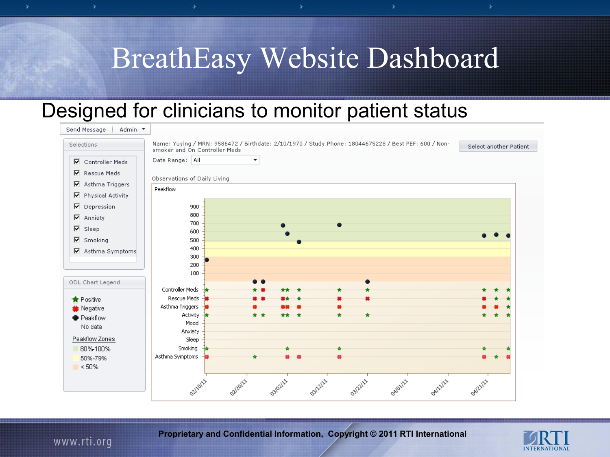# BreathEasy Website Dashboard

#### Designed for clinicians to monitor patient status

| Admin *<br>Send Message  |                                                                                                                                       |                        |
|--------------------------|---------------------------------------------------------------------------------------------------------------------------------------|------------------------|
| Selections               | Name: Yuying / MRN: 9586472 / Birthdate: 2/10/1970 / Study Phone: 18044675228 / Best PEF: 600 / Non-<br>smoker and On Controller Meds | Select another Patient |
| <b>▽</b> Controller Meds | Date Range: All<br>۰                                                                                                                  |                        |
| $\nabla$ Rescue Meds     |                                                                                                                                       |                        |
| ⊽<br>Asthma Triggers     | Observations of Daily Living                                                                                                          |                        |
| ⊽<br>Physical Activity   | Peakflow                                                                                                                              |                        |
| $\nabla$ Depression      | 900                                                                                                                                   |                        |
| ⊽<br>Anxiety             | 800                                                                                                                                   |                        |
| $\nabla$ Sleep           | 700                                                                                                                                   |                        |
| $\nabla$ Smoking         | 600<br>500                                                                                                                            |                        |
|                          | 400                                                                                                                                   |                        |
| ☑ Asthma Symptoms        | 300                                                                                                                                   |                        |
|                          | 200                                                                                                                                   |                        |
|                          | 100                                                                                                                                   |                        |
| ODL Chart Legend         | Controller Meds                                                                                                                       |                        |
| $\bigstar$ Positive      | Rescue Meds                                                                                                                           |                        |
| Negative                 | Asthma Triggers                                                                                                                       |                        |
| <b>•</b> Peakflow        | Activity $\frac{1}{2}$                                                                                                                |                        |
| No data                  | Mood                                                                                                                                  |                        |
|                          | Anxiety                                                                                                                               |                        |
| Peakflow Zones           | Sleep                                                                                                                                 |                        |
| 80%-100%                 | Smoking                                                                                                                               |                        |
| 50%-79%                  | Asthma Symptoms                                                                                                                       |                        |
| $\sim$ <50%              |                                                                                                                                       |                        |
|                          |                                                                                                                                       |                        |
|                          | ozizoizz<br>03/02/11<br>03/12/11<br>oalosiss<br>olitolity<br>OAILLILL<br>03/22/11                                                     | oal21/11               |
|                          |                                                                                                                                       |                        |

**Proprietary and Confidential Information, Copyright © 2011 RTI International**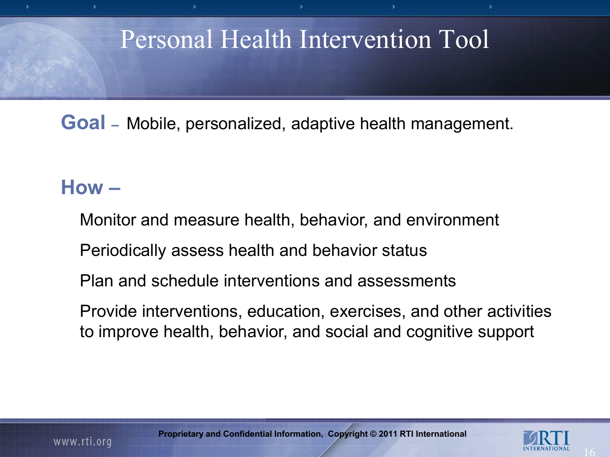## Personal Health Intervention Tool

**Goal –** Mobile, personalized, adaptive health management.

### **How –**

Monitor and measure health, behavior, and environment

Periodically assess health and behavior status

Plan and schedule interventions and assessments

Provide interventions, education, exercises, and other activities to improve health, behavior, and social and cognitive support

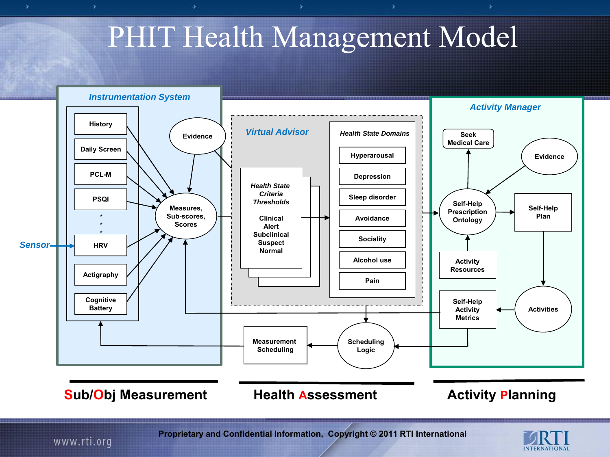# PHIT Health Management Model



www.rti.org

š